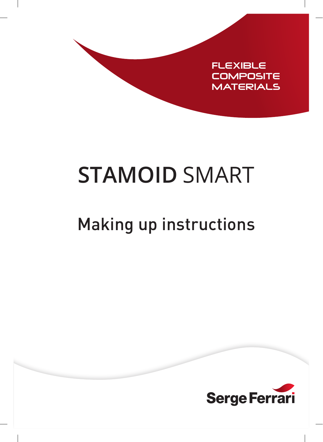

# **STAMOID** SMART

# Making up instructions

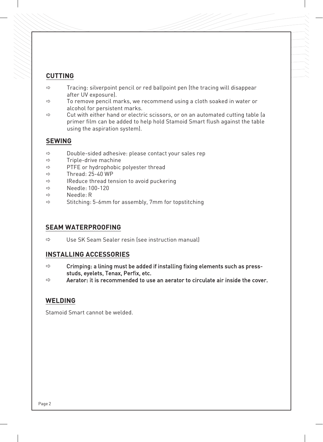#### **CUTTING**

- $\Rightarrow$  Tracing: silverpoint pencil or red ballpoint pen (the tracing will disappear after UV exposure).
- $\Rightarrow$  To remove pencil marks, we recommend using a cloth soaked in water or alcohol for persistent marks.
- $\Rightarrow$  Cut with either hand or electric scissors, or on an automated cutting table (a primer film can be added to help hold Stamoid Smart flush against the table using the aspiration system).

#### **SEWING**

- $\Rightarrow$  Double-sided adhesive: please contact your sales rep
- $\Rightarrow$  Triple-drive machine
- $\Rightarrow$  PTFE or hydrophobic polyester thread
- $\Rightarrow$  Thread: 25-40 WP
- $\Rightarrow$  IReduce thread tension to avoid puckering
- $\Rightarrow$  Needle: 100-120
- $\Rightarrow$  Needle $\cdot$  R
- $\Rightarrow$  Stitching: 5-6mm for assembly, 7mm for topstitching

## **SEAM WATERPROOFING**

 $\Rightarrow$  Use SK Seam Sealer resin (see instruction manual)

#### **INSTALLING ACCESSORIES**

- $\Rightarrow$  Crimping: a lining must be added if installing fixing elements such as pressstuds, eyelets, Tenax, Perfix, etc.
- $\Rightarrow$  Aerator: it is recommended to use an aerator to circulate air inside the cover.

## **WELDING**

Stamoid Smart cannot be welded.